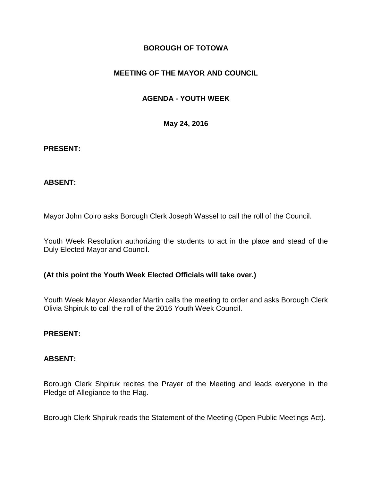# **BOROUGH OF TOTOWA**

# **MEETING OF THE MAYOR AND COUNCIL**

# **AGENDA - YOUTH WEEK**

**May 24, 2016**

#### **PRESENT:**

### **ABSENT:**

Mayor John Coiro asks Borough Clerk Joseph Wassel to call the roll of the Council.

Youth Week Resolution authorizing the students to act in the place and stead of the Duly Elected Mayor and Council.

### **(At this point the Youth Week Elected Officials will take over.)**

Youth Week Mayor Alexander Martin calls the meeting to order and asks Borough Clerk Olivia Shpiruk to call the roll of the 2016 Youth Week Council.

### **PRESENT:**

### **ABSENT:**

Borough Clerk Shpiruk recites the Prayer of the Meeting and leads everyone in the Pledge of Allegiance to the Flag.

Borough Clerk Shpiruk reads the Statement of the Meeting (Open Public Meetings Act).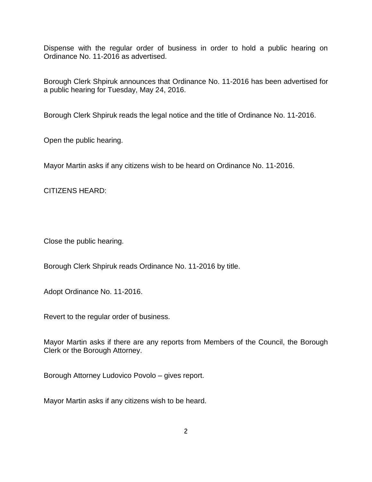Dispense with the regular order of business in order to hold a public hearing on Ordinance No. 11-2016 as advertised.

Borough Clerk Shpiruk announces that Ordinance No. 11-2016 has been advertised for a public hearing for Tuesday, May 24, 2016.

Borough Clerk Shpiruk reads the legal notice and the title of Ordinance No. 11-2016.

Open the public hearing.

Mayor Martin asks if any citizens wish to be heard on Ordinance No. 11-2016.

CITIZENS HEARD:

Close the public hearing.

Borough Clerk Shpiruk reads Ordinance No. 11-2016 by title.

Adopt Ordinance No. 11-2016.

Revert to the regular order of business.

Mayor Martin asks if there are any reports from Members of the Council, the Borough Clerk or the Borough Attorney.

Borough Attorney Ludovico Povolo – gives report.

Mayor Martin asks if any citizens wish to be heard.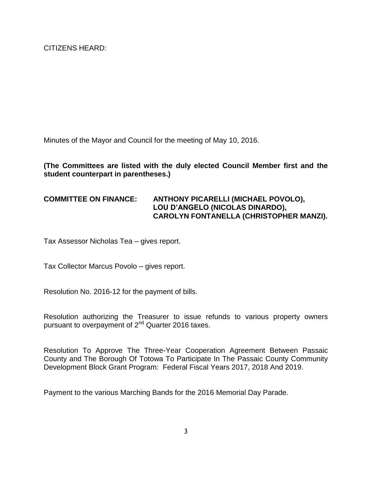Minutes of the Mayor and Council for the meeting of May 10, 2016.

## **(The Committees are listed with the duly elected Council Member first and the student counterpart in parentheses.)**

## **COMMITTEE ON FINANCE: ANTHONY PICARELLI (MICHAEL POVOLO), LOU D'ANGELO (NICOLAS DINARDO), CAROLYN FONTANELLA (CHRISTOPHER MANZI).**

Tax Assessor Nicholas Tea – gives report.

Tax Collector Marcus Povolo – gives report.

Resolution No. 2016-12 for the payment of bills.

Resolution authorizing the Treasurer to issue refunds to various property owners pursuant to overpayment of 2nd Quarter 2016 taxes.

Resolution To Approve The Three-Year Cooperation Agreement Between Passaic County and The Borough Of Totowa To Participate In The Passaic County Community Development Block Grant Program: Federal Fiscal Years 2017, 2018 And 2019.

Payment to the various Marching Bands for the 2016 Memorial Day Parade.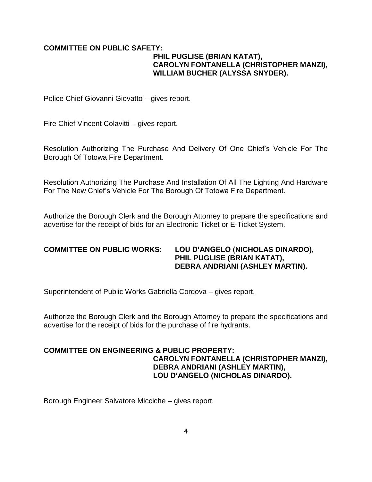### **COMMITTEE ON PUBLIC SAFETY: PHIL PUGLISE (BRIAN KATAT), CAROLYN FONTANELLA (CHRISTOPHER MANZI), WILLIAM BUCHER (ALYSSA SNYDER).**

Police Chief Giovanni Giovatto – gives report.

Fire Chief Vincent Colavitti – gives report.

Resolution Authorizing The Purchase And Delivery Of One Chief's Vehicle For The Borough Of Totowa Fire Department.

Resolution Authorizing The Purchase And Installation Of All The Lighting And Hardware For The New Chief's Vehicle For The Borough Of Totowa Fire Department.

Authorize the Borough Clerk and the Borough Attorney to prepare the specifications and advertise for the receipt of bids for an Electronic Ticket or E-Ticket System.

#### **COMMITTEE ON PUBLIC WORKS: LOU D'ANGELO (NICHOLAS DINARDO), PHIL PUGLISE (BRIAN KATAT), DEBRA ANDRIANI (ASHLEY MARTIN).**

Superintendent of Public Works Gabriella Cordova – gives report.

Authorize the Borough Clerk and the Borough Attorney to prepare the specifications and advertise for the receipt of bids for the purchase of fire hydrants.

### **COMMITTEE ON ENGINEERING & PUBLIC PROPERTY: CAROLYN FONTANELLA (CHRISTOPHER MANZI), DEBRA ANDRIANI (ASHLEY MARTIN), LOU D'ANGELO (NICHOLAS DINARDO).**

Borough Engineer Salvatore Micciche – gives report.